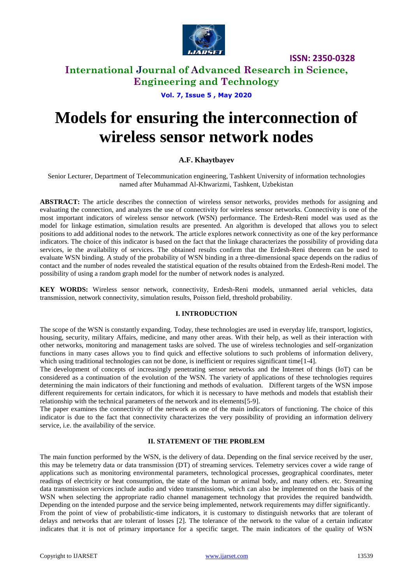

## **International Journal of Advanced Research in Science, Engineering and Technology**

**Vol. 7, Issue 5 , May 2020**

# **Models for ensuring the interconnection of wireless sensor network nodes**

## **A.F. Khaytbayev**

Senior Lecturer, Department of Telecommunication engineering, Tashkent University of information technologies named after Muhammad Al-Khwarizmi, Tashkent, Uzbekistan

**ABSTRACT:** The article describes the connection of wireless sensor networks, provides methods for assigning and evaluating the connection, and analyzes the use of connectivity for wireless sensor networks. Connectivity is one of the most important indicators of wireless sensor network (WSN) performance. The Erdesh-Reni model was used as the model for linkage estimation, simulation results are presented. An algorithm is developed that allows you to select positions to add additional nodes to the network. The article explores network connectivity as one of the key performance indicators. The choice of this indicator is based on the fact that the linkage characterizes the possibility of providing data services, ie the availability of services. The obtained results confirm that the Erdesh-Reni theorem can be used to evaluate WSN binding. A study of the probability of WSN binding in a three-dimensional space depends on the radius of contact and the number of nodes revealed the statistical equation of the results obtained from the Erdesh-Reni model. The possibility of using a random graph model for the number of network nodes is analyzed.

**KEY WORDS:** Wireless sensor network, connectivity, Erdesh-Reni models, unmanned aerial vehicles, data transmission, network connectivity, simulation results, Poisson field, threshold probability.

### **I. INTRODUCTION**

The scope of the WSN is constantly expanding. Today, these technologies are used in everyday life, transport, logistics, housing, security, military Affairs, medicine, and many other areas. With their help, as well as their interaction with other networks, monitoring and management tasks are solved. The use of wireless technologies and self-organization functions in many cases allows you to find quick and effective solutions to such problems of information delivery, which using traditional technologies can not be done, is inefficient or requires significant time[1-4].

The development of concepts of increasingly penetrating sensor networks and the Internet of things (IoT) can be considered as a continuation of the evolution of the WSN. The variety of applications of these technologies requires determining the main indicators of their functioning and methods of evaluation. Different targets of the WSN impose different requirements for certain indicators, for which it is necessary to have methods and models that establish their relationship with the technical parameters of the network and its elements[5-9].

The paper examines the connectivity of the network as one of the main indicators of functioning. The choice of this indicator is due to the fact that connectivity characterizes the very possibility of providing an information delivery service, i.e. the availability of the service.

### **II. STATEMENT OF THE PROBLEM**

The main function performed by the WSN, is the delivery of data. Depending on the final service received by the user, this may be telemetry data or data transmission (DT) of streaming services. Telemetry services cover a wide range of applications such as monitoring environmental parameters, technological processes, geographical coordinates, meter readings of electricity or heat consumption, the state of the human or animal body, and many others. etc. Streaming data transmission services include audio and video transmissions, which can also be implemented on the basis of the WSN when selecting the appropriate radio channel management technology that provides the required bandwidth. Depending on the intended purpose and the service being implemented, network requirements may differ significantly. From the point of view of probabilistic-time indicators, it is customary to distinguish networks that are tolerant of delays and networks that are tolerant of losses [2]. The tolerance of the network to the value of a certain indicator indicates that it is not of primary importance for a specific target. The main indicators of the quality of WSN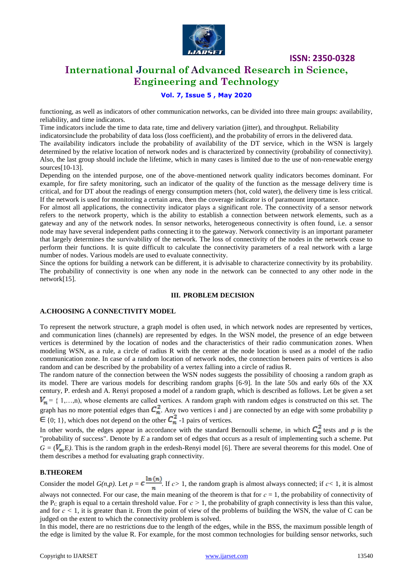

## **International Journal of Advanced Research in Science, Engineering and Technology**

## **Vol. 7, Issue 5 , May 2020**

functioning, as well as indicators of other communication networks, can be divided into three main groups: availability, reliability, and time indicators.

Time indicators include the time to data rate, time and delivery variation (jitter), and throughput. Reliability indicatorsinclude the probability of data loss (loss coefficient), and the probability of errors in the delivered data. The availability indicators include the probability of availability of the DT service, which in the WSN is largely determined by the relative location of network nodes and is characterized by connectivity (probability of connectivity). Also, the last group should include the lifetime, which in many cases is limited due to the use of non-renewable energy sources[10-13].

Depending on the intended purpose, one of the above-mentioned network quality indicators becomes dominant. For example, for fire safety monitoring, such an indicator of the quality of the function as the message delivery time is critical, and for DT about the readings of energy consumption meters (hot, cold water), the delivery time is less critical. If the network is used for monitoring a certain area, then the coverage indicator is of paramount importance.

For almost all applications, the connectivity indicator plays a significant role. The connectivity of a sensor network refers to the network property, which is the ability to establish a connection between network elements, such as a gateway and any of the network nodes. In sensor networks, heterogeneous connectivity is often found, i.e. a sensor node may have several independent paths connecting it to the gateway. Network connectivity is an important parameter that largely determines the survivability of the network. The loss of connectivity of the nodes in the network cease to perform their functions. It is quite difficult to calculate the connectivity parameters of a real network with a large number of nodes. Various models are used to evaluate connectivity.

Since the options for building a network can be different, it is advisable to characterize connectivity by its probability. The probability of connectivity is one when any node in the network can be connected to any other node in the network[15].

#### **III. PROBLEM DECISION**

### **A.CHOOSING A CONNECTIVITY MODEL**

To represent the network structure, a graph model is often used, in which network nodes are represented by vertices, and communication lines (channels) are represented by edges. In the WSN model, the presence of an edge between vertices is determined by the location of nodes and the characteristics of their radio communication zones. When modeling WSN, as a rule, a circle of radius R with the center at the node location is used as a model of the radio communication zone. In case of a random location of network nodes, the connection between pairs of vertices is also random and can be described by the probability of a vertex falling into a circle of radius R.

The random nature of the connection between the WSN nodes suggests the possibility of choosing a random graph as its model. There are various models for describing random graphs [6-9]. In the late 50s and early 60s of the XX century, P. erdesh and A. Renyi proposed a model of a random graph, which is described as follows. Let be given a set  $= \{ 1,...,n \}$ , whose elements are called vertices. A random graph with random edges is constructed on this set. The graph has no more potential edges than  $C_n^2$ . Any two vertices i and j are connected by an edge with some probability p  $\epsilon$  {0; 1}, which does not depend on the other  $C_n^2$  -1 pairs of vertices.

In other words, the edges appear in accordance with the standard Bernoulli scheme, in which  $C_n^2$  tests and p is the "probability of success". Denote by *E* a random set of edges that occurs as a result of implementing such a scheme. Put  $G = (V_n, E)$ . This is the random graph in the erdesh-Renyi model [6]. There are several theorems for this model. One of them describes a method for evaluating graph connectivity.

#### **B.THEOREM**

**E. I HEOKEN**<br>Consider the model  $G(n, p)$ . Let  $p = c \frac{\ln(n)}{n}$ . If  $c > 1$ , the random graph is almost always connected; if  $c < 1$ , it is almost

always not connected. For our case, the main meaning of the theorem is that for  $c = 1$ , the probability of connectivity of the P<sub>C</sub> graph is equal to a certain threshold value. For  $c > 1$ , the probability of graph connectivity is less than this value, and for  $c < 1$ , it is greater than it. From the point of view of the problems of building the WSN, the value of C can be judged on the extent to which the connectivity problem is solved.

In this model, there are no restrictions due to the length of the edges, while in the BSS, the maximum possible length of the edge is limited by the value R. For example, for the most common technologies for building sensor networks, such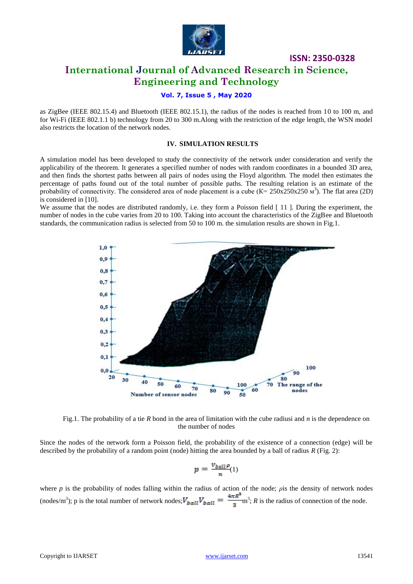

## **International Journal of Advanced Research in Science, Engineering and Technology**

## **Vol. 7, Issue 5 , May 2020**

as ZigBee (IEEE 802.15.4) and Bluetooth (IEEE 802.15.1), the radius of the nodes is reached from 10 to 100 m, and for Wi-Fi (IEEE 802.1.1 b) technology from 20 to 300 m.Along with the restriction of the edge length, the WSN model also restricts the location of the network nodes.

#### **IV. SIMULATION RESULTS**

A simulation model has been developed to study the connectivity of the network under consideration and verify the applicability of the theorem. It generates a specified number of nodes with random coordinates in a bounded 3D area, and then finds the shortest paths between all pairs of nodes using the Floyd algorithm. The model then estimates the percentage of paths found out of the total number of possible paths. The resulting relation is an estimate of the probability of connectivity. The considered area of node placement is a cube  $(K = 250 \times 250 \times 250 \text{ m}^3)$ . The flat area (2D) is considered in [10].

We assume that the nodes are distributed randomly, i.e. they form a Poisson field [11]. During the experiment, the number of nodes in the cube varies from 20 to 100. Taking into account the characteristics of the ZigBee and Bluetooth standards, the communication radius is selected from 50 to 100 m. the simulation results are shown in Fig.1.



Fig.1. The probability of a tie *R* bond in the area of limitation with the cube radiusi and *n* is the dependence on the number of nodes

Since the nodes of the network form a Poisson field, the probability of the existence of a connection (edge) will be described by the probability of a random point (node) hitting the area bounded by a ball of radius *R* (Fig. 2):

$$
p = \frac{v_{ball} \rho}{n}(1)
$$

where *p* is the probability of nodes falling within the radius of action of the node; *ρ*is the density of network nodes (nodes/m<sup>3</sup>); p is the total number of network nodes;  $V_{ball}V_{ball} = \frac{4\pi R}{n}$  m<sup>3</sup>; *R* is the radius of connection of the node.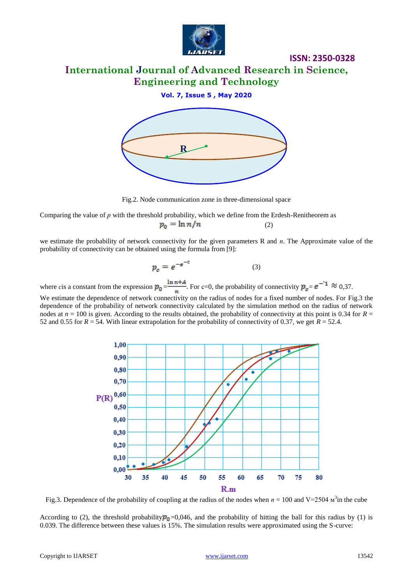

## **International Journal of Advanced Research in Science, Engineering and Technology**

## **Vol. 7, Issue 5 , May 2020**



Fig.2. Node communication zone in three-dimensional space

Comparing the value of *р* with the threshold probability, which we define from the Erdesh-Renitheorem as  $p_0 = \ln n/n$ (2)

we estimate the probability of network connectivity for the given parameters R and *п*. The Approximate value of the probability of connectivity can be obtained using the formula from [9]:

$$
p_c = e^{-e^{-c}} \tag{3}
$$

where *c*is a constant from the expression  $p_0 = \frac{\ln n + A}{n}$ . For c=0, the probability of connectivity  $p_c = e^{-1} \approx 0.37$ .

We estimate the dependence of network connectivity on the radius of nodes for a fixed number of nodes. For Fig.3 the dependence of the probability of network connectivity calculated by the simulation method on the radius of network nodes at  $n = 100$  is given. According to the results obtained, the probability of connectivity at this point is 0.34 for  $R =$ 52 and 0.55 for  $R = 54$ . With linear extrapolation for the probability of connectivity of 0.37, we get  $R = 52.4$ .



Fig.3. Dependence of the probability of coupling at the radius of the nodes when  $n = 100$  and V=2504  $\text{M}^3$  in the cube

According to (2), the threshold probability  $p_0$ =0,046, and the probability of hitting the ball for this radius by (1) is 0.039. The difference between these values is 15%. The simulation results were approximated using the S-curve: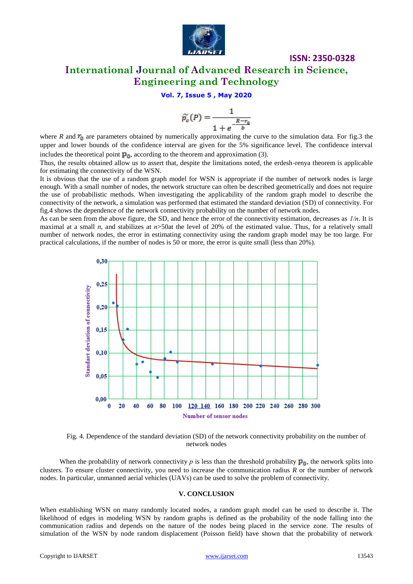

## **International Journal of Advanced Research in Science, Engineering and Technology**

**ISSN: 2350-0328**

## **Vol. 7, Issue 5 , May 2020**

$$
\widetilde{p_c}(P) = \frac{1}{1 + e^{-\frac{R - r_0}{b}}}
$$

where *R* and  $r_0$  are parameters obtained by numerically approximating the curve to the simulation data. For fig.3 the upper and lower bounds of the confidence interval are given for the 5% significance level. The confidence interval includes the theoretical point  $\mathbf{p}_0$ , according to the theorem and approximation (3).

Thus, the results obtained allow us to assert that, despite the limitations noted, the erdesh-renya theorem is applicable for estimating the connectivity of the WSN.

It is obvious that the use of a random graph model for WSN is appropriate if the number of network nodes is large enough. With a small number of nodes, the network structure can often be described geometrically and does not require the use of probabilistic methods. When investigating the applicability of the random graph model to describe the connectivity of the network, a simulation was performed that estimated the standard deviation (SD) of connectivity. For fig.4 shows the dependence of the network connectivity probability on the number of network nodes.

As can be seen from the above figure, the SD, and hence the error of the connectivity estimation, decreases as *1/п*. It is maximal at a small *n*, and stabilizes at  $n > 50$ at the level of 20% of the estimated value. Thus, for a relatively small number of network nodes, the error in estimating connectivity using the random graph model may be too large. For practical calculations, if the number of nodes is 50 or more, the error is quite small (less than 20%).



Fig. 4. Dependence of the standard deviation (SD) of the network connectivity probability on the number of network nodes

When the probability of network connectivity  $p$  is less than the threshold probability  $\mathbf{p}_0$ , the network splits into clusters. To ensure cluster connectivity, you need to increase the communication radius *R* or the number of network nodes. In particular, unmanned aerial vehicles (UAVs) can be used to solve the problem of connectivity.

#### **V. CONCLUSION**

When establishing WSN on many randomly located nodes, a random graph model can be used to describe it. The likelihood of edges in modeling WSN by random graphs is defined as the probability of the node falling into the communication radius and depends on the nature of the nodes being placed in the service zone. The results of simulation of the WSN by node random displacement (Poisson field) have shown that the probability of network